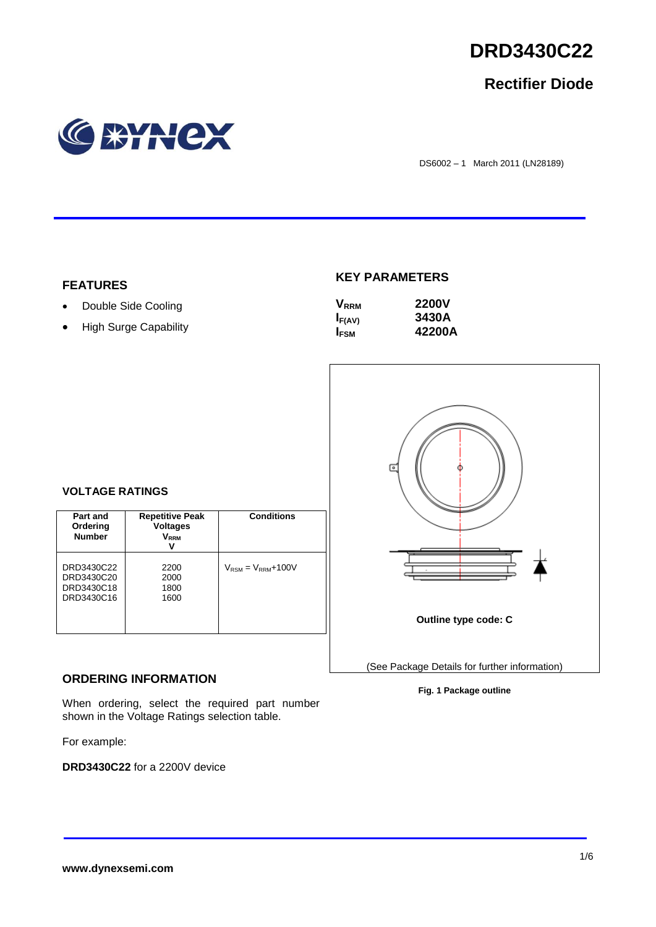

# **Rectifier Diode**



DS6002 – 1 March 2011 (LN28189)

### **FEATURES**

- Double Side Cooling
- High Surge Capability

# **KEY PARAMETERS**

| <b>V</b> <sub>RRM</sub> | <b>2200V</b> |
|-------------------------|--------------|
| $I_{F(AV)}$             | 3430A        |
| <b>I</b> <sub>FSM</sub> | 42200A       |



## **VOLTAGE RATINGS**

| Part and<br>Ordering<br><b>Number</b>                | <b>Repetitive Peak</b><br><b>Voltages</b><br>$V_{\rm RRM}$<br>v | <b>Conditions</b>                        |
|------------------------------------------------------|-----------------------------------------------------------------|------------------------------------------|
| DRD3430C22<br>DRD3430C20<br>DRD3430C18<br>DRD3430C16 | 2200<br>2000<br>1800<br>1600                                    | $V_{\text{RSM}} = V_{\text{RRM}} + 100V$ |

#### **ORDERING INFORMATION**

When ordering, select the required part number shown in the Voltage Ratings selection table.

For example:

**DRD3430C22** for a 2200V device

**Fig. 1 Package outline**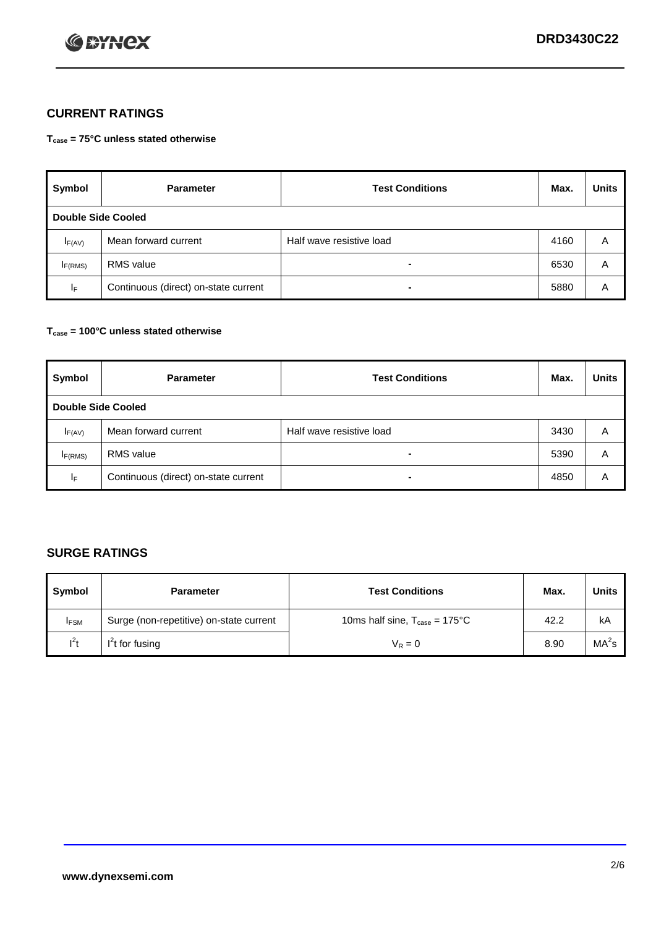

# **CURRENT RATINGS**

**Tcase = 75°C unless stated otherwise**

| Symbol      | <b>Parameter</b>                     | <b>Test Conditions</b>   | Max. | <b>Units</b> |  |  |
|-------------|--------------------------------------|--------------------------|------|--------------|--|--|
|             | Double Side Cooled                   |                          |      |              |  |  |
| $I_{F(AV)}$ | Mean forward current                 | Half wave resistive load | 4160 | A            |  |  |
| IF(RMS)     | <b>RMS</b> value                     | $\blacksquare$           | 6530 | A            |  |  |
| IF.         | Continuous (direct) on-state current | -                        | 5880 | Α            |  |  |

#### **Tcase = 100°C unless stated otherwise**

| Symbol              | <b>Parameter</b>                     | <b>Test Conditions</b>   | Max. | <b>Units</b> |  |  |
|---------------------|--------------------------------------|--------------------------|------|--------------|--|--|
|                     | <b>Double Side Cooled</b>            |                          |      |              |  |  |
| $I_{F(AV)}$         | Mean forward current                 | Half wave resistive load | 3430 | Α            |  |  |
| I <sub>F(RMS)</sub> | <b>RMS</b> value                     | $\overline{\phantom{0}}$ | 5390 | A            |  |  |
| IF                  | Continuous (direct) on-state current | ۰                        | 4850 | A            |  |  |

# **SURGE RATINGS**

| Symbol      | <b>Parameter</b>                        | <b>Test Conditions</b>                           | Max. | <b>Units</b>      |
|-------------|-----------------------------------------|--------------------------------------------------|------|-------------------|
| <b>IFSM</b> | Surge (non-repetitive) on-state current | 10ms half sine, $T_{\text{case}} = 175^{\circ}C$ | 42.2 | kA                |
| $I^2t$      | I't for fusing                          | $V_R = 0$                                        | 8.90 | MA <sup>2</sup> s |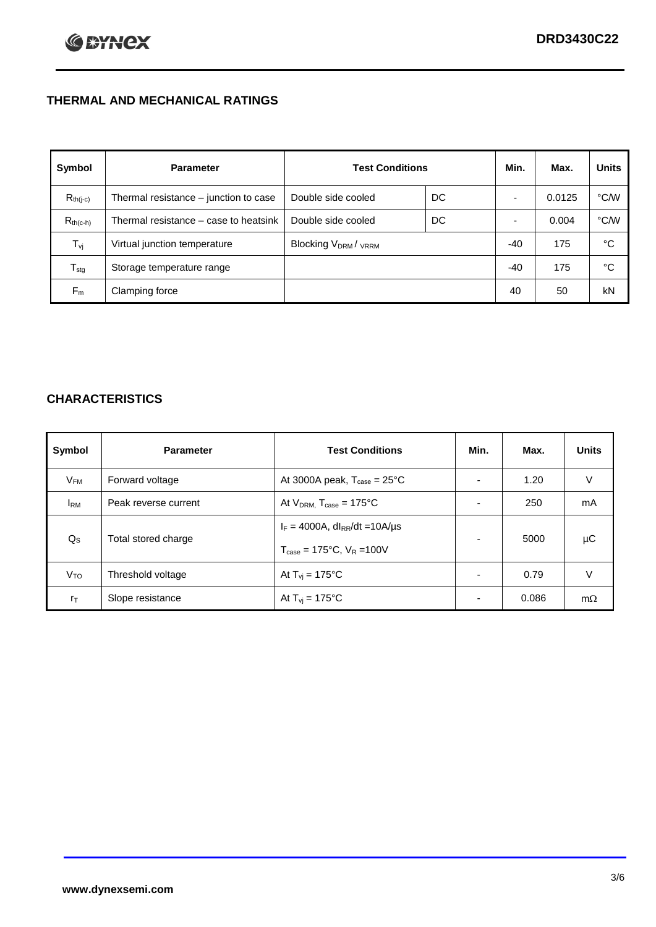# **THERMAL AND MECHANICAL RATINGS**

| Symbol           | <b>Parameter</b>                      | <b>Test Conditions</b>                      |    | Min.  | Max.   | <b>Units</b> |
|------------------|---------------------------------------|---------------------------------------------|----|-------|--------|--------------|
| $R_{th(j-c)}$    | Thermal resistance – junction to case | Double side cooled                          | DC |       | 0.0125 | °C/W         |
| $R_{th(c-h)}$    | Thermal resistance – case to heatsink | Double side cooled                          | DC |       | 0.004  | °C/W         |
| $T_{\rm vj}$     | Virtual junction temperature          | Blocking V <sub>DRM</sub> / <sub>VRRM</sub> |    | $-40$ | 175    | °C           |
| $T_{\text{stg}}$ | Storage temperature range             |                                             |    | $-40$ | 175    | °C           |
| $F_m$            | Clamping force                        |                                             |    | 40    | 50     | kN           |

# **CHARACTERISTICS**

| Symbol                   | <b>Parameter</b>     | <b>Test Conditions</b>                          | Min.           | Max.  | <b>Units</b> |
|--------------------------|----------------------|-------------------------------------------------|----------------|-------|--------------|
| $\mathsf{V}_\mathsf{FM}$ | Forward voltage      | At 3000A peak, $T_{\text{case}} = 25^{\circ}C$  |                | 1.20  | V            |
| <b>I</b> <sub>RM</sub>   | Peak reverse current | At $V_{DRM}$ , $T_{case} = 175^{\circ}C$        | ۰              | 250   | mA           |
| $Q_{\rm S}$              | Total stored charge  | $I_F = 4000A$ , dl <sub>RR</sub> /dt = 10A/us   | ۰              | 5000  | μC           |
|                          |                      | $T_{\text{case}} = 175^{\circ}C$ , $V_R = 100V$ |                |       |              |
| V <sub>TO</sub>          | Threshold voltage    | At $T_{vi} = 175^{\circ}C$                      | $\blacksquare$ | 0.79  | V            |
| $r_{\text{T}}$           | Slope resistance     | At $T_{vi} = 175^{\circ}C$                      | ۰              | 0.086 | $m\Omega$    |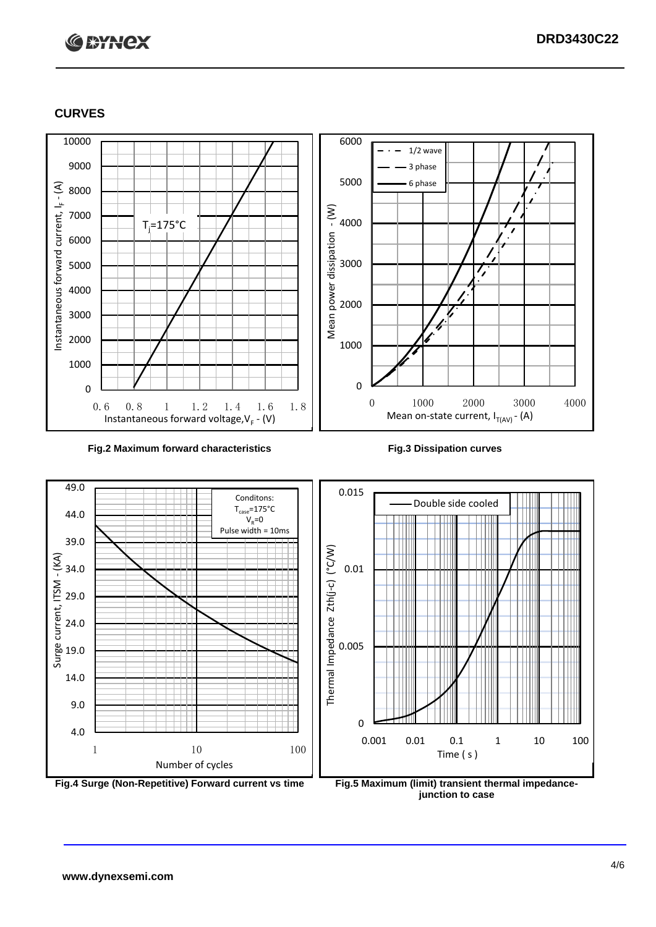

### **CURVES**









**junction to case**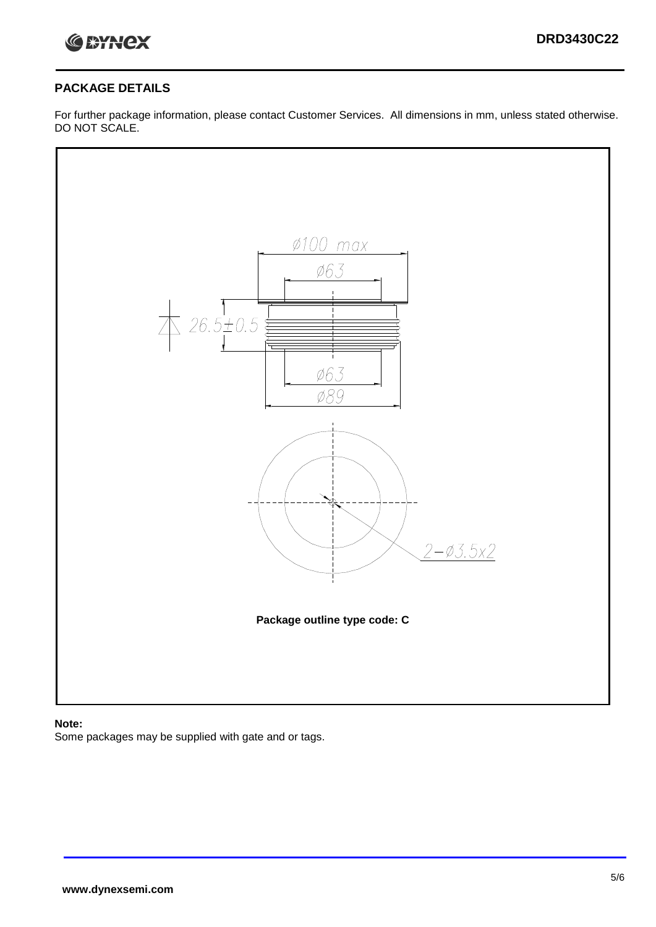

### **PACKAGE DETAILS**

For further package information, please contact Customer Services. All dimensions in mm, unless stated otherwise. DO NOT SCALE.



### **Note:**

Some packages may be supplied with gate and or tags.